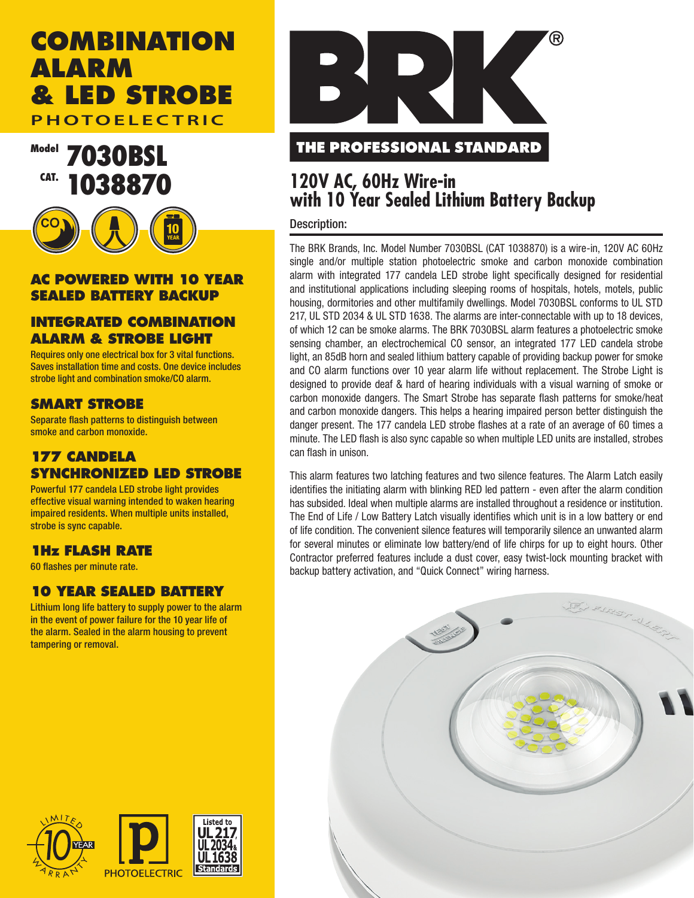# **COMBINATION ALARM & LED STROBE PHOTOELECTRIC**

Model **7030BSL** CAT. 1038870



#### **AC POWERED WITH 10 YEAR SEALED BATTERY BACKUP**

# **INTEGRATED COMBINATION ALARM & STROBE LIGHT**

Requires only one electrical box for 3 vital functions. Saves installation time and costs. One device includes strobe light and combination smoke/CO alarm.

# **SMART STROBE**

Separate flash patterns to distinguish between smoke and carbon monoxide.

# **177 CANDELA SYNCHRONIZED LED STROBE**

Powerful 177 candela LED strobe light provides effective visual warning intended to waken hearing impaired residents. When multiple units installed, strobe is sync capable.

# **1Hz FLASH RATE**

60 flashes per minute rate.

# **10 YEAR SEALED BATTERY**

Lithium long life battery to supply power to the alarm in the event of power failure for the 10 year life of the alarm. Sealed in the alarm housing to prevent tampering or removal.



# **THE PROFESSIONAL STANDARD**

# **120V AC, 60Hz Wire-in with 10 Year Sealed Lithium Battery Backup**

#### Description:

The BRK Brands, Inc. Model Number 7030BSL (CAT 1038870) is a wire-in, 120V AC 60Hz single and/or multiple station photoelectric smoke and carbon monoxide combination alarm with integrated 177 candela LED strobe light specifically designed for residential and institutional applications including sleeping rooms of hospitals, hotels, motels, public housing, dormitories and other multifamily dwellings. Model 7030BSL conforms to UL STD 217, UL STD 2034 & UL STD 1638. The alarms are inter-connectable with up to 18 devices, of which 12 can be smoke alarms. The BRK 7030BSL alarm features a photoelectric smoke sensing chamber, an electrochemical CO sensor, an integrated 177 LED candela strobe light, an 85dB horn and sealed lithium battery capable of providing backup power for smoke and CO alarm functions over 10 year alarm life without replacement. The Strobe Light is designed to provide deaf & hard of hearing individuals with a visual warning of smoke or carbon monoxide dangers. The Smart Strobe has separate flash patterns for smoke/heat and carbon monoxide dangers. This helps a hearing impaired person better distinguish the danger present. The 177 candela LED strobe flashes at a rate of an average of 60 times a minute. The LED flash is also sync capable so when multiple LED units are installed, strobes can flash in unison.

This alarm features two latching features and two silence features. The Alarm Latch easily identifies the initiating alarm with blinking RED led pattern - even after the alarm condition has subsided. Ideal when multiple alarms are installed throughout a residence or institution. The End of Life / Low Battery Latch visually identifies which unit is in a low battery or end of life condition. The convenient silence features will temporarily silence an unwanted alarm for several minutes or eliminate low battery/end of life chirps for up to eight hours. Other Contractor preferred features include a dust cover, easy twist-lock mounting bracket with backup battery activation, and "Quick Connect" wiring harness.